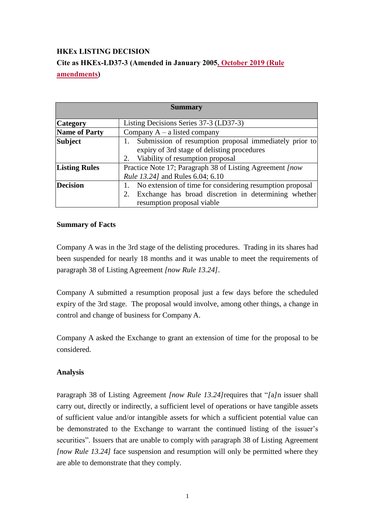## **HKEx LISTING DECISION Cite as HKEx-LD37-3 (Amended in January 2005, October 2019 (Rule amendments)**

| <b>Summary</b>       |                                                                                                                                                      |
|----------------------|------------------------------------------------------------------------------------------------------------------------------------------------------|
| <b>Category</b>      | Listing Decisions Series 37-3 (LD37-3)                                                                                                               |
| <b>Name of Party</b> | Company $A - a$ listed company                                                                                                                       |
| <b>Subject</b>       | Submission of resumption proposal immediately prior to<br>expiry of 3rd stage of delisting procedures<br>2. Viability of resumption proposal         |
| <b>Listing Rules</b> | Practice Note 17; Paragraph 38 of Listing Agreement <i>[now</i> ]<br><i>Rule 13.241</i> and Rules 6.04; 6.10                                         |
| <b>Decision</b>      | No extension of time for considering resumption proposal<br>Exchange has broad discretion in determining whether<br>2.<br>resumption proposal viable |

## **Summary of Facts**

Company A was in the 3rd stage of the delisting procedures. Trading in its shares had been suspended for nearly 18 months and it was unable to meet the requirements of paragraph 38 of Listing Agreement *[now Rule 13.24]*.

Company A submitted a resumption proposal just a few days before the scheduled expiry of the 3rd stage. The proposal would involve, among other things, a change in control and change of business for Company A.

Company A asked the Exchange to grant an extension of time for the proposal to be considered.

## **Analysis**

Paragraph 38 of Listing Agreement *[now Rule 13.24]*requires that "*[*a*]*n issuer shall carry out, directly or indirectly, a sufficient level of operations or have tangible assets of sufficient value and/or intangible assets for which a sufficient potential value can be demonstrated to the Exchange to warrant the continued listing of the issuer's securities". Issuers that are unable to comply with paragraph 38 of Listing Agreement *[now Rule 13.24]* face suspension and resumption will only be permitted where they are able to demonstrate that they comply.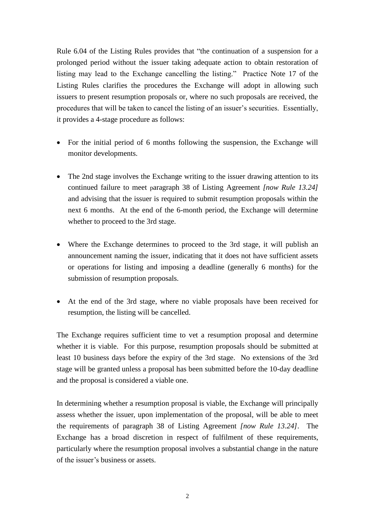Rule 6.04 of the Listing Rules provides that "the continuation of a suspension for a prolonged period without the issuer taking adequate action to obtain restoration of listing may lead to the Exchange cancelling the listing." Practice Note 17 of the Listing Rules clarifies the procedures the Exchange will adopt in allowing such issuers to present resumption proposals or, where no such proposals are received, the procedures that will be taken to cancel the listing of an issuer's securities. Essentially, it provides a 4-stage procedure as follows:

- For the initial period of 6 months following the suspension, the Exchange will monitor developments.
- The 2nd stage involves the Exchange writing to the issuer drawing attention to its continued failure to meet paragraph 38 of Listing Agreement *[now Rule 13.24]* and advising that the issuer is required to submit resumption proposals within the next 6 months. At the end of the 6-month period, the Exchange will determine whether to proceed to the 3rd stage.
- Where the Exchange determines to proceed to the 3rd stage, it will publish an announcement naming the issuer, indicating that it does not have sufficient assets or operations for listing and imposing a deadline (generally 6 months) for the submission of resumption proposals.
- At the end of the 3rd stage, where no viable proposals have been received for resumption, the listing will be cancelled.

The Exchange requires sufficient time to vet a resumption proposal and determine whether it is viable. For this purpose, resumption proposals should be submitted at least 10 business days before the expiry of the 3rd stage. No extensions of the 3rd stage will be granted unless a proposal has been submitted before the 10-day deadline and the proposal is considered a viable one.

In determining whether a resumption proposal is viable, the Exchange will principally assess whether the issuer, upon implementation of the proposal, will be able to meet the requirements of paragraph 38 of Listing Agreement *[now Rule 13.24]*. The Exchange has a broad discretion in respect of fulfilment of these requirements, particularly where the resumption proposal involves a substantial change in the nature of the issuer's business or assets.